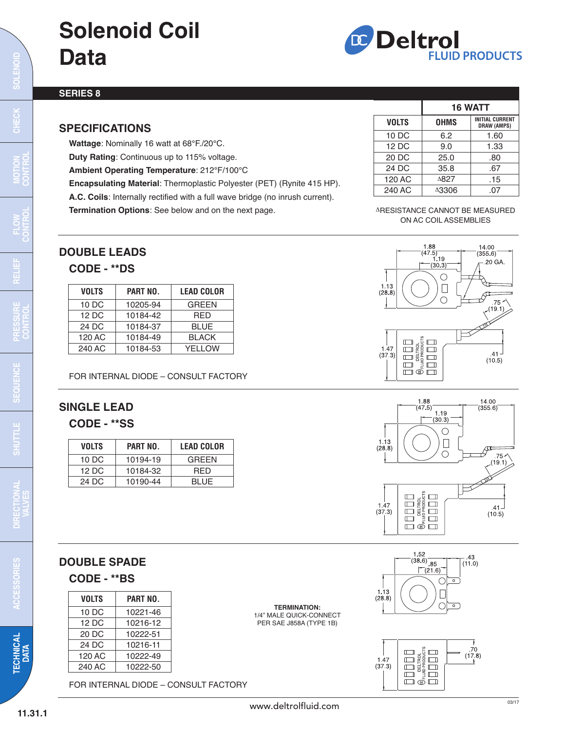# **Solenoid Coil Data**



### **SERIES 8**

## **SPECIFICATIONS**

**Wattage**: Nominally 16 watt at 68°F./20°C.

**Duty Rating**: Continuous up to 115% voltage.

**Ambient Operating Temperature**: 212°F/100°C

**Encapsulating Material**: Thermoplastic Polyester (PET) (Rynite 415 HP).

**A.C. Coils**: Internally rectified with a full wave bridge (no inrush current).

**Termination Options**: See below and on the next page.

|              | <b>16 WATT</b> |                                              |
|--------------|----------------|----------------------------------------------|
| <b>VOLTS</b> | <b>OHMS</b>    | <b>INITIAL CURRENT</b><br><b>DRAW (AMPS)</b> |
| 10 DC        | 6.2            | 1.60                                         |
| 12 DC        | 9.0            | 1.33                                         |
| 20 DC        | 25.0           | .80                                          |
| 24 DC        | 35.8           | .67                                          |
| 120 AC       | A827           | .15                                          |
| 240 AC       | A3306          | .07                                          |

#### ARESISTANCE CANNOT BE MEASURED ON AC COIL ASSEMBLIES

14.00

 $(355.6)$ .20 GA

J

 $\mathscr{S}^{\mathbf{r}}$ 

 $75<sup>2</sup>$  $(19.1)$ 

1.88

1.13

 $(28.8)$ 

 $(47.5)$ 

 $(30.3)$  $\bigcirc$ 

 $\Box$ 

 $\bigcirc$ 

# **DOUBLE LEADS**

## **CODE - \*\*DS**

| VOLTS  | PART NO. | <b>LEAD COLOR</b> |
|--------|----------|-------------------|
| 10 DC  | 10205-94 | <b>GREEN</b>      |
| 12 DC  | 10184-42 | <b>RED</b>        |
| 24 DC  | 10184-37 | BLUE              |
| 120 AC | 10184-49 | <b>BLACK</b>      |
| 240 AC | 10184-53 | YELLOW            |

FOR INTERNAL DIODE – CONSULT FACTORY

# **SINGLE LEAD**

## **CODE - \*\*SS**

| VOLTS  | PART NO. | <b>LEAD COLOR</b> |
|--------|----------|-------------------|
| 10 DC  | 10194-19 | GREEN             |
| 12 D.C | 10184-32 | <b>RED</b>        |
| 24 D.C | 10190-44 | <b>BLUE</b>       |







| PART NO. |  |
|----------|--|
| 10221-46 |  |
| 10216-12 |  |
| 10222-51 |  |
| 10216-11 |  |
| 10222-49 |  |
| 10222-50 |  |
|          |  |

FOR INTERNAL DIODE – CONSULT FACTORY

**TERMINATION:** 1/4" MALE QUICK-CONNECT PER SAE J858A (TYPE 1B)





**CHEC K**

**N**

**ROL**

 $\mathbf C$ **ON**

**TEC H NIC**

**AL DATA**

**ACCES SORIES**